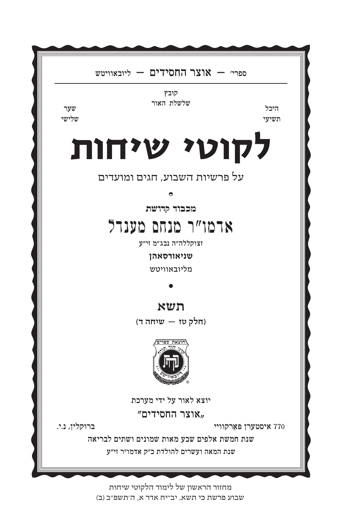מחזור הראשון של לימוד הלקוטי שיחות שבוע פרשת כי תשא. יב־יח אדר א. ה׳תשפ״ב (ב)

שנת חמשת אלפים שבע מאות שמונים ושתים לבריאה שנת המאה ועשרים להולדת כ״ק אדמו״ר זי״ע

ברוקלין, נ.י.

770 איסטערן פארקוויי

"אוצר החסידים",

יוצא לאור על ידי מערכת



(חלק טז – שיחה ד)

תשא

מליובאוויטש

שניאורסאהן

זצוקללה"ה נבג"מ זי"ע

## ארמו"ר מנחם מענדל

מכבוד קדושת

על פרשיות השבוע, חגים ומועדים

## לקוטי שיחות

קובץ שלשלת האור

ספריי – אוצר החסידים – ליובאוויטש

היכל תשיעי

שלישי

שער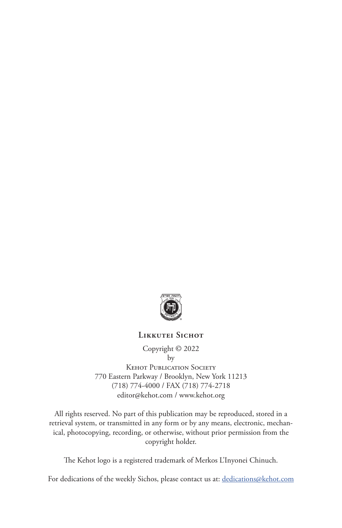

## **Likkutei Sichot**

Copyright © 2022 by Kehot Publication Society 770 Eastern Parkway / Brooklyn, New York 11213 (718) 774-4000 / FAX (718) 774-2718 editor@kehot.com / www.kehot.org

All rights reserved. No part of this publication may be reproduced, stored in a retrieval system, or transmitted in any form or by any means, electronic, mechanical, photocopying, recording, or otherwise, without prior permission from the copyright holder.

The Kehot logo is a registered trademark of Merkos L'Inyonei Chinuch.

For dedications of the weekly Sichos, please contact us at: dedications@kehot.com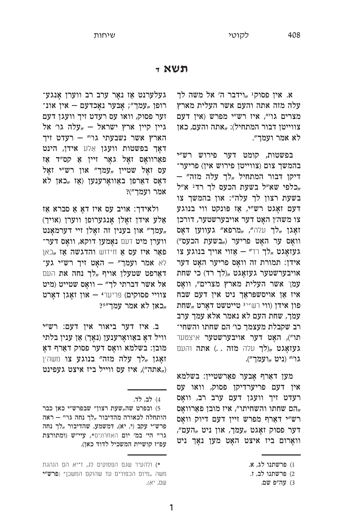## תשא ז

א. אין פסוק<sup>1</sup> "וידבר ה׳ אל משה לך עלה מזה אתה והעם אשר העלית מארץ מצרים גו׳", איז רש״י מפרש (אין דעם צווייטן דבור המתחיל): "אתה והעם, כאן לא אמר ועמד״.

בפשטות, קומט דער פירוש רש״י בהמשך צום (צווייטן פירוש אין) פריער־ דיקן דבור המתחיל "לך עלה מזה כלפי שא״ל בשעת הכעס לך רד<sup>2</sup> א״ל, בשעת רצון לך עלה": און בהמשך צו דעם זאַגט רש״י, אַז פּונקט ווי בנוגע צו משה׳ן האָט דער אויבערשטער, דורכן זאָגן "לך עלה", "מרפא" געווען דאָס וואָס ער האָט פריער ("בשעת הכעס") געזאָגט "לך רד" – אַזוי אויך בנוגע צו אידן: תמורת זה וואַס פריער האַט דער אויבערשטער געזאָגט "(לך רד) כי שחת עמך אשר העלית מארץ מצרים", וואָס איז אַן אויסשפּראַך ניט אין דעם שבח פון אידן (ווי רש״ינטשט אירט אידן פון אידן עמך, שחת העם לא נאמר אלא עמך ערב רב שקבלת מעצמך כו׳ הם שחתו והשחי־ תו"), האָט דער אויבערשטער איצטער געזאָגט "(לך עלה מזה ..) אתה והעם גו'" (ניט "ועמך").

מען דאַרף אָבער פאַרשטיין: בשלמא אין דעם פריערדיקן פסוק, וואו עס רעדט זיך וועגן דעם ערב רב, וואַס הם שחתו והשחיתו", איז מובן פאַרוואָס, רש״י דאַרף מפרש זיין דעם דיוק וואַס דער פסוק זאָגט "עמך, און ניט "העם", וואַרום ביז איצט האָט מען נאָך ניט

געלערנט אַז נאָר ערב רב ווערן אָנגע־ רופן "עמך"; אָבער נאָכדעם – אין אונ־ זער פסוק, וואו עס רעדט זיך וועגן דעם גיין קיין ארץ ישראל – "עלה גו׳ אל הארץ אשר נשבעתי גו" - רעדט זיך דאָך בפשטות וועגן אַלע אידן, הינט פאַרוואָס זאָל גאָר זיין אַ קס״ד אַז עס זאַל שטיין "עמך" און רש״י זאַל דאַס דאַרפֿן באַוואַרענען (אַז "כאן לא אמר ועמך")?

ולאידך: אויב עס איז דאָ אַ סברא אַז אַלע אידן זאָלן אָנגערופן ווערן (אויך) עמך" און בענין זה זאַלן זיי דערמאַנט, ֿווערן מיט דעם נאָמען דוקא, וואָס דער פאַר איז עס אַ חידוש והדגשה אַז "כאן לא אמר ועמך" - האָט זיך רש״י גע־ דאַרפט שטעלן אויף "לך נחה את העם אל אשר דברתי לך״ – וואָס שטייט (מיט צוויי פסוקים) פריערי – און זאָגן דאָרט יכאן לא אמר עמך״35,

ב. איז דער ביאור אין דעם: רש״י וויל דאָ באַוואָרענען (נאָך) אַן ענין בלתי מובן: בשלמא וואָס דער פסוק דאַרף דאָ ואָגן "לך עלה מזה" בנוגע צו משה׳ן ("אתה"), איז עס ווייל ביז איצט געפינט,

<sup>1)</sup> פרשתנו לג, א.

<sup>2)</sup> פרשתנו לב, ז.

<sup>3)</sup> עה"פ שם.

<sup>4)</sup> לב, לד.

<sup>5)</sup> ובפרט שה,שעת רצון" שבפרש"י כאן כבר הותחלה לכאורה מהדיבור "לך נחה גו׳״ – ראה פרש"י עקב (י, יא), דמשמע, שהדיבור "לך נחה גו״ הי׳ במ׳ יום האחרונים\*, עיי״ש (ומתורצת עפ״ז קושיית המשכיל לדוד כאן).

<sup>\*)</sup> ולהעיר שגם הפסוקים לג, ז־יא הם הנהגת משה "מיום הכפורים עד שהוקם המשכן" (פרש"י שם, יא).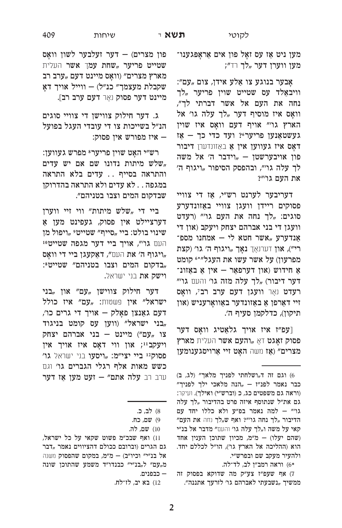מען ניט אַז עס זאַל פון אים אַראַפּגענו־ מען ווערן דער "לך רד״;

אָבער בנוגע צו אַלע אידן, צום "עם״: וויבאַלד עס שטייט שוין פריער "לך נחה את העם אל אשר דברתי לך״, וואַס איז מוסיף דער "לך עלה גו׳ אל הארץ גו׳״ אויף דעם וואָס איז שוין געשטאַנען פריער 10 יעד כדי כך - אַז דאָס איז געווען אין אַ באַזונדערן דיבור פון אויבערשטן – "וידבר ה' אל משה לך עלה גו׳״, ובהפסק הסיפור "ויגוף ה׳ את העם גו׳״?

דעריבער לערנט רש״י, אַז די צוויי פסוקים ריידן וועגן צוויי באַזונדערע סוגים: "לך נחה את העם גו"" (רעדט וועגן די בני אברהם יצחק ויעקב (און די אַנדערע "אשר חטא לי – אמחנו מספ־ רי"), און דערנאָך נאָך "ויגוף ה' גו' (קצת מפרעון) על אשר עשו את העגל״\*6 קומט אַ חידוש (און דערפאַר – אין אַ באַזונ־ דער דיבור) "לך עלה מזה גו' והעם גו'" רעדט נאָר וועגן דעם ערב רב׳, וואָס זיי דאַרפן אַ באַזונדער באַוואַרעניש (און תיקון), כדלקמן סעיף ה׳.

[עפ״ז איז אויך גלאַטיג וואָס דער פסוק זאָגט דאָ "והעם אשר העלית מארץ מצרים" (אַז משה האָט זיי אַרויסגענומען

פון מצרים) – דער זעלבער לשון וואָס שטייט פריער "שחת עמך אשר העלית מארץ מצרים״ (וואָס מיינט דעם "ערב רב שקבלת מעצמך" כנ"ל) – ווייל אויך דאָ מיינט דער פסוק נאָר דעם ערב רב].

ג. דער חילוק צווישן די צוויי סוגים הנ״ל בשייכות צו די עובדי העגל בפועל – איז מפורש אין פסוק:

רש״י האַט שוין פריערי מפרש געווען: שלש מיתות נדונו שם אם יש עדים, והתראה בסייף .. עדים בלא התראה במגפה . . לא עדים ולא התראה בהדרוקן שבדקום המים וצבו בטניהם״.

ביי די "שלש מיתות" ווי זיי ווערן דערציילט אין פסוק, געפינט מען אַ שינוי בולט: ביי "סייף" שטייט° "ויפול מן העם גו", אויך ביי דער מגפה שטייט<sup>10</sup> ריגוף ה׳ את העם״, דאַקעגן ביי די וואַס, "בדקום המים וצבו בטניהם" שטייט<sup>8</sup>: וישק את בני ישראל.

דער חילוק צווישן "עם" און "בני ישראל" אין פשטות: "עם" איז כולל דעם גאַנצן פאָלק – אויך די גרים כו׳, בניגוד, ווען עס קומט בניגוד, צו "עם") מיינט - בני אברהם יצחק ויעקביי; און ווי דאַס איז אויך אין פסוק12 ביי יצי״מ: ,,ויסעו בני ישראל גו׳ כשש מאות אלף רגלי הגברים גו׳ וגם ערב רב עלה אתם" - זעט מען אַז דער

<sup>6)</sup> וגם זה ד<sub>"</sub>ושלחתי לפניך מלאך" (לג, ב) כבר נאמר לפנ"ז - "הנה מלאכי ילך לפניך" (וראה גם משפטים כג, כ (וברש״י) ואילך). ועיקר: גם את"ל שנתוסף איזה פרט בהדיבור "לך עלה גו׳" – למה נאמר בפ״ע ולא כללו יחד עם הדיבור "לך נחה גו׳״? ואף ש"לך נחה את העם״ קאי על משה ו"לך עלה גו' והעם" מדבר אל בנ"י (שהם יעלו) – מ״מ, מכיון שתוכן הענין אחד הוא (ההליכה אל הארץ גו'), הו״ל לכללם יחד. ולהעיר מעקב שם ובפרש״י.

<sup>\*6)</sup> וראה רמב״ן לב, לד־לה.

<sup>7)</sup> אף שעפ״ז צע״ק מה שדוקא בפסוק זה ממשיך "נשבעתי לאברהם גו׳ לזרעך אתננה״.

<sup>8)</sup> לב, כ.

<sup>9)</sup> שם, כח.

<sup>10)</sup> שם, לה.

<sup>11)</sup> ואף שבכ״מ פשוט שקאי על כל ישראל, גם הגרים (וברובם ככולם דהציווים נאמר "דבר אל בנ"י" וכיו"ב) – מ"מ, במקום שהפסוק וושנה מ<sub>"</sub>עם" ל<sub>"</sub>בנ"י" כבנדו"ד משמע שהתוכן שונה כבפנים.  $-$ 

<sup>12)</sup> בא יב, לז־לח.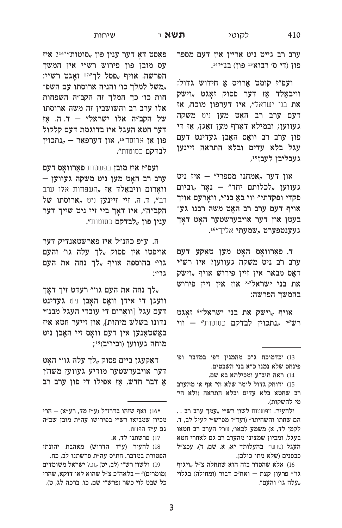ערב רב גייט ניט אַריין אין דעם מספר פון (די ס׳ רבוא 13 פון) בנ״י41.

ועפ"ז קומט אַרויס אַ חידוש גדול: וויבאַלד אַז דער פסוק זאָגט "וישק את בני ישראל", איז דערפון מוכח, אַז דעם ערב רב האָט מען ניט משקה געווען; ובמילא דאַרף מען זאָגן, אַז די פון ערב רב וואָס האָבן געדינט דעם עגל בלא עדים ובלא התראה זיינען געבליבן לעבן15,

און דער "אמחנו מספרי" – איז ניט געווען "לכלותם יחד" – נאָר "וביום פקדי ופקדתי" ווי באַ בנ"י, וואַרעם אויך אויף דעם ערב רב האָט משה רבנו גע־ בעטן און דער אויבערשטער האָט דאָך .געענטפערט "שמעתי אליך״16.

ד. פאַרוואָס האָט מען טאַקע דעם ערב רב ניט משקה געווען? איז רש״י דאָס מבאר אין זיין פירוש אויף "וישק את בני ישראל"<sup>8</sup> און אין זיין פירוש בהמשך הפרשה:

אויף "וישק את בני ישראל" איגט רש"י "נתכוין לבדקם כסוטות" - ווי

13) וכדמוכח ג"כ מהמנין דפ׳ במדבר ופ׳ פינחס שלא נמנו כ״א בני השבטים.

14) ראה תיב״ע ומכילתא בא שם.

.. ולהעיר: מפשטות לשון רש"י "עמך ערב רב הם שחתו והשחיתו״ (ועד״ז מפרש״י לעיל לב, ד. לקמן לד, א) משמע לכאו', שכל הערב רב חטאו בעגל, ומכיון שמצינו מהערב רב גם לאחרי חטא העגל (פרש"י בהעלותך יא, א. שם, ד), עכצ"ל כבפנים (שלא מתו כולם).

16) אלא שהסדר בזה הוא שתחלה צ"ל "ויגוף גו׳״ פרעון קצת – ואח״כ דבור (ומחילה) בגלוי "עלה גו׳ והעם".

פּאַסט דאָ דער ענין פון "סוטות"\*216 איז עס מובן פון פירוש רש״י אין המשך הפרשה. אויף "פסל לך"11 זאָגט רש"י: "משל למלך כו׳ והניח ארוסתו עם השפ־ חות כו׳ כך המלך זה הקב״ה השפחות אלו ערב רב והשושבין זה משה ארוסתו של הקב״ה אלו ישראל״ – ד.ה. אַז דער חטא העגל איז בדוגמת דעם קלקול פון אַן ארוסה<sup>18</sup>, און דערפאַר - "נתכוין **לבדקם** כסוטות״.

ועפ״ז איז מובן בפשטות פאַרוואָס דעם ערב רב האָט מען ניט משקה געווען – **וואַרום וויבאַלד אַז "**השפחות אלו ערב רב", ד. ה. זיי זיינען ניט ,ארוסתו של הקב"ה", איז דאָך ביי זיי ניט שייך דער **ענין פון "לבדקם** כסוטות**״.** 

ה. ע״פ כהנ״ל איז פאַרשטאַנדיק דער אויפטו אין פסוק "לך עלה גו׳ והעם גו׳״ בהוספה אויף "לך נחה את העם  $:''$ גו

לך נחה את העם גו׳״ רעדט זיך דאַך, וועגן די אידן וואָס האָבן ניט געדינט דעם עגל [וואַרום די עובדי העגל מבנ״י נדונו בשלש מיתות], און זייער חטא איז באַשטאַנען אין דעם וואָס זיי האָבן ניט מוחה געווען (וכיו"ב)יו;

דאַקעגן ביים פסוק "לך עלה גו׳״ האַט דער אויבערשטער מודיע געווען משה׳ן אַ דבר חדש, אַז אפילו די פון ערב רב

18) להעיר (ע"ד הדרוש) מאהבת יהונתן הפטורת במדבר. חת״ס עה״ת פרשתנו לב, כח.

19) ולשון רש״י (לב, יט) "וכל ישראל משומדים (מומרים)״ – בלאה״כ צ״ל שהוא לאו דוקא, שהרי כל שבט לוי כשר (פרש״י שם, כו. ברכה לג, ט).

<sup>15)</sup> ודוחק גדול לומר שלא הי' אף א' מהערב רב שחטא בלא עדים ובלא התראה (ולא הי׳ מי להשקות).

ואף שזהו בדרז"ל (ע"ז מד, רע"א) – הרי (16\* מכיון שמביאו רש״י בפירושו עה״ת מובן שכ״ה גם ע״ד הפשט.

<sup>17)</sup> פרשתנו לד, א.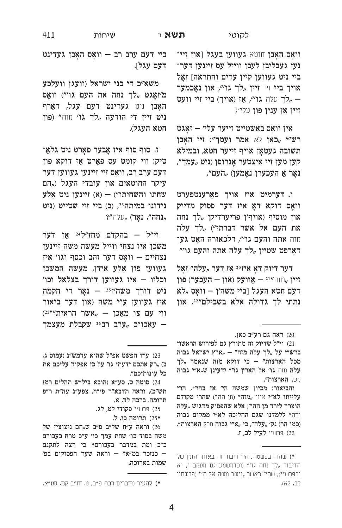וואָס האָבן חוטא געווען בעגל [און זיי־ נען געבליבן לעבן ווייל עס זיינען דער־ ביי ניט געווען קיין עדים והתראה] זאַל אויך ביי זיי זיין "לך גו", און נאָכמער לך עלה גו", אַז (אויך) ביי זיי וועט – ; זיין אַן ענין פון עלי

אין וואָס באַשטייט זייער עלי׳ – זאָגט רש״י "כאן לא אמר ועמך״: זיי האָבן תשובה געטאָן אויף זייער חטא, ובמילא "קען מען זיי איצטער אַנרופן (ניט "עמך, נאָר אַ העכערן נאָמען) "העם״.

ו. דערמיט איז אויך פאַרענטפערט וואָס דוקא דאָ איז דער פסוק מדייק און מוסיף (אויף׳ן פריערדיקן "לך נחה את העם אל אשר דברתי״) "לך עלה חזה אתה והעם גו׳״, דלכאורה האַט גע־ דאַרפט שטיין "לך עלה אתה והעם גו׳״

דער דיוק דאָ איזי<sup>20</sup> אַז דער "עלה״ זאָל ַ זיין ,,) אוועק (און – העכער) פון דעם חטא העגל [ביי משה׳ן — וואַס "לא נתתי לך גדולה אלא בשבילם"22, און

והביאור: מכיון שמשה הי׳ אז בהר\*, הרי עלייתו לא״י אינו "מזה״ (וון ההר) שהרי מקודם הוצרך לירד מן ההר; אלא שהפסוק מדגיש "עלה נוזה" ללמדנו שגם ההליכה לא"י ממקום גבוה (כמו הר) נק׳ "עלה״, כי "א״י גבוה ווכל הארצות״. 22) פרש״י **לעיל לב, ז**.

ביי דעם ערב רב - וואָס האָבן געדינט דעם עגל].

שיחות

משא״כ די בני ישראל (וועגן וועלכע מ׳זאַגט "לך נחה את העם גו׳") וואַס האַבן ניט געדינט דעם עגל, דאַרף ניט זיין די הודעה "לך גו' ווזה" (פון חטא העגל).

ז. סוף סוף איז אָבער פאָרט ניט גלאַ־ טיק: ווי קומט עס פאָרט אַז דוקא פון דעם ערב רב, וואָס זיי זיינען געווען דער עיקר החוטאים און עובדי העגל ("הם יינען ניט אַלע (א) – אותו והשחיתו נידונו במיתה 23, (ב) ביי זיי שטייט (ניט תנחה״, נאָר) "עלה״?

וי״ל – בהקדם מחז״ל<sup>24</sup> אז דער משכן איז נצחי ווייל מעשה משה זיינען נצחיים – וואָס דער זהב וכסף וגו׳ איז געווען פון אַלע אידן, מעשה המשכן וכליו – איז געווען דורך בצלאל וכו׳ ניט דורך משה'ן<sup>25</sup> – נאַר די הקמה איז געווען ע״י משה (און דער ביאור ווי עם צו מאַכן - "אשר הראית"<sup>25\*</sup>") עאכו״כ "ערב רב26 שקבלת מעצמך –

<sup>20)</sup> ראה גם רע״ב כאן.

<sup>21)</sup> וי״ל שדיוק זה מתורץ גם לפירוש הראשון ברש״י על "לך עלה מזה" - "ארץ ישראל גבוה מכל הארצות" – כי דוקא מזה שנאמר "לך עלה חזה גו' אל הארץ גו'" ידעינן ש"א"י גבוה מכל הארצות".

<sup>\*)</sup> שהרי בפשטות הי׳ דיבור זה באותו הזמן של הדיבור "לך נחה גו׳" (וכדמשמע גם מעקב י, יא ובפרש"י), שהי׳ כאשר "וישב משה אל ה׳״ (פרשתנו לב, לא).

<sup>23)</sup> ע״ד הפשט אפ״ל שהוא עדמש״נ (עמוס ג, ב) "רק אתכם ידעתי גו׳ על כן אפקוד עליכם את כל עונותיכם״.

<sup>24)</sup> סוטה ט, סע"א (הובא ביל"ש תהלים רמז תש"כ), וראה תדבא"ר פי"ח. צפע"נ עה"ת ר"פ תרומה. ברכה לד, א.

<sup>25)</sup> פרש״י פקודי לט, לג.

<sup>25\*</sup> תרומה כו, ל.

וראה ע"ח של"ב פ"ב ש<sub>"</sub>הם ניצוצין של משה בסוד כו׳ שחת עמך כו׳ ע״כ טרח בעבורם כ״כ ומת במדבר בעבורם\* כי רצה לתקנם - כנזכר במ"א" - וראה שער הפסוקים בפ' שמות בארוכה.

<sup>\*)</sup> להעיר מדברים רבה פ״ב, ט. זח״ב קנז, סע״א.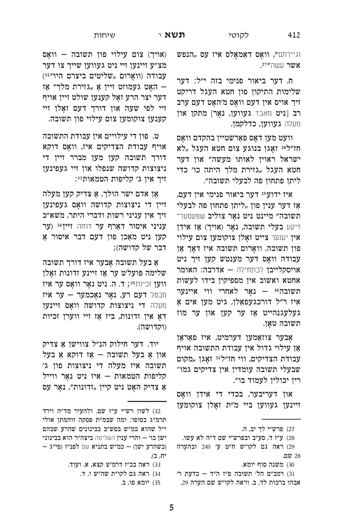412

וגיירתם", וואָס דאַמאָלס איז עס "הנפש אשר עשה "<sup>27</sup>".

ח. דער ביאור פנימי בזה י״ל: דער שלימות התיקון פון חטא העגל דריקט זיך אויס אין דעם וואָס מ׳האָט דעם ערב רב [ניט מאבד געווען, נאָר] מתקן און מעלה געווען, כדלקמן.

וועט מען דאַס פּאַרשטיין בהקדם וואַס חז״ל28 זאַגן בנוגע צום חטא העגל 51, ישראל ראוין לאותו מעשה" און דער חטא העגל "גזירת מלך היתה כו׳ כדי ליתן פתחון פה לבעלי תשובה״.

איז ידוע29 דער ביאור פנימי אין דעם, אַז דער ענין פון "ליתן פתחון פה לבעלי תשובה״ מיינט ניט נאָר צוליב שפּעטער־ דיקע בעלי תשובה, נאָר (אויך) אַז אידן אין יענער צייט זאָלן צוקומען צום עילוי פון תשובה. וואָרום תשובה איז דאָך אַן עבודה וואָס דער מענטש קען זיך ניט אויסקלייבן לכתחילה - אדרבה: האומר אחטא ואשוב אין מספיקין בידו לעשות תשובה<sup>30</sup> – נאָר לאחרי ווי איינער איז ר״ל דורכגעפאַלן, גיט מען אים אַ געלעגנהייט אַז ער קען און ער מוז תשובה טאָן.

אָבער צוזאַמען דערמיט, איז פאַראַן אַן עילוי גדול אין עבודת התשובה אויף עבודת הצדיקים, ווי חז״ל<sup>31</sup> זאַגן "מקום שבעלי תשובה עומדין אין צדיקים גמו־ רין יכולין לעמוד בו״.

און דעריבער, בכדי די אידן וואָס זיינען געווען ביי מ״ת זאָלן צוקומען

27) פרש״י לך יב, ה.

30) משנה סוף יומא.

(אויך) צום עילוי פון תשובה – וואָס מצ״ע זיינען זיי ניט געווען שייך צו דער עבודה (וואָרום "שליטים ביצרם היו"22) האָט געמוזט זיין אַ "גזירת מלך" אַז דער יצר הרע זאָל קענען שולט זיין אויף זיי לפי שעה און דורך דעם זאַלן זיי קענען צוקומען צום עילוי פון תשובה.

ט. פון די עילויים אין עבודת התשובה אויף עבודת הצדיקים איז, וואָס דוקא דורך תשובה קען מען מברר זיין די ניצוצות קדושה שנפלו און זיי געפינען זיך אין ג׳ קליפות הטמאות <sup>33</sup>:

אַן אדם ישר הולך, אַ צדיק קען מעלה זיין די ניצוצות קדושה וואָס געפינען זיך אין עניני רשות ודברי היתר, משא״כ עניני איסור דאַרף ער דוחה זיין 34' (ער קען ניט מאַכן פון דעם דבר איסור אַ דבר של קדושה);

אַ בעל תשובה אַבער איז דורך תשובה שלימה פועל׳ט ער אַז זיינע זדונות זאָלן ווען זכיות זי, ה. ניט נאָר וואָס ער איז װבטל **דעם רע, נאָר נאָכמער – ער איז** מעלה די ניצוצות קדושה וואָס זיינען דאָ אין זדונות, ביז אַז זיי ווערן זכיות (וקדושה).

יוד. דער חילוק הנ״ל צווישן אַ צדיק און אַ בעל תשובה – אַז דוקא אַ בעל תשובה איז מעלה די ניצוצות פון ג׳ קליפות הטמאות – איז ניט נאַר ווייל אַ צדיק האָט ניט קיין "זדונות", נאָר עס

- 33) ראה בכ״ז דרמ״צ קצא, א. ועוד.
	- 34) ראה גם לקו״ת שה״ש ו, ד.
		- 35) יומא פו, ב.

<sup>28)</sup> ע״ז ד, סע״ב ובפרש״י שם ד״ה לא עשו. 29) ראה גם לקו״ש ח״ט ע׳ 240 ובהערה 28 שם.

<sup>31)</sup> רמב״ם הל׳ תשובה פ״ז ה״ד – כדעת ר׳ אבהו ברכות לד, ב. וראה לקו"ש שם הערה 29.

<sup>32)</sup> לשון רש״י ע״ז שם. ולהעיר מד״ה וירד תרמ״ג בסופו: ומה שבמ״ת פסקה זוהמתן אולי י"ל שהוא כמ"ש בסש"ב בבינונים שהרע שבהם ישן כו׳ – והרי ענין השליטה ביצה״ר הוא בבינוני וכשהרע ישן) – כמ״ש בתניא שם לפנ״ז (פי״ג יה, ב).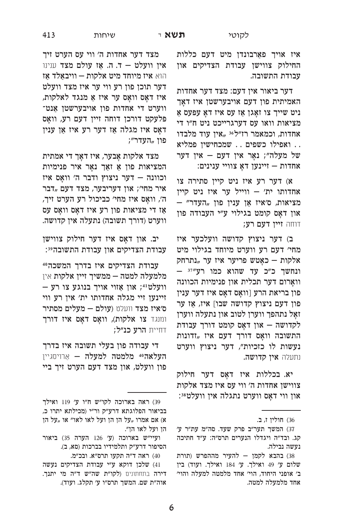איז אויך פאַרבונדן מיט דעם כללות החילוק צווישן עבודת הצדיקים און עבודת התשובה.

דער ביאור אין דעם: מצד דער אחדות האמיתית פון דעם אויבערשטן איז דאַך ניט שייך צו זאַגן אַז עס איז דאַ עפּעס אַ מציאות וואו עס דערגרייכט ניט ח״ו די אחדות, וכמאמר רז"ל<sup>36</sup> "אין עוד מלבדו . . ואפילו כשפים . . שמכחישין פמליא של מעלה"; נאָר אין דעם – אין דער אחדות – זיינען דאַ צוויי ענינים:

א) דער רע איז ניט קיין סתירה צו אחדותו ית' – ווייל ער איז ניט קיין – "מציאות, ס׳איז אַן ענין פון "העדר און דאָס קומט בגילוי ע״י העבודה פון דוחה זיין דעם רע;

ב) דער ניצוץ קדושה וועלכער איז מחי׳ דעם רע ווערט מיוחד בגילוי מיט אלקות – כאַטש פריער איז ער "נתרחק - ונחשך כ״כ עד שהוא כמו רע״יי וואַרום דער תכלית און פנימיות הכוונה פון בריאת הרע [וואָס דאָס איז דער ענין פון דעם ניצוץ קדושה שבו] איז, אַז ער זאָל נתהפך ווערן לטוב און נתעלה ווערן לקדושה - און דאָס קומט דורך עבודת התשובה וואָס דורך דעם איז "זדונות נעשות לו כזכיות", דער ניצוץ ווערט נתעלה אין קדושה.

יא. בכללות איז דאָס דער חילוק צווישן אחדות ה׳ ווי עס איז מצד אלקות און ווי דאָס ווערט נתגלה אין וועלט3:

מצד דער אחדות ה׳ ווי עס הערט זיך אין וועלט – ד. ה. אַז עולם מצד ענינו הוא **איז מיוחד מיט אלקות – וויבאַלד אַז** דער תוכן פון רע ווי ער איז מצד וועלט איז דאָס וואָס ער איז אַ מנגד לאלקות, ווערט די אחדות פון אויבערשטן אַנט־ פּלעקט דורכן דוחה זיין דעם רע, וואָס דאָס איז מגלה אַז דער רע איז אַן ענין פון "העדר״;

מצד אלקות אָבער, איז דאָך די אמתית המציאות פון אַ זאַך נאָר איר פנימיות וכוונה – דער ניצוץ ודבר ה' וואָס איז איר מחי׳; און דעריבער, מצד דעם "דבר ה׳, וואַס איז מחי׳ כביכול רע הערט זיך, אַז די מציאות פון רע איז דאָס וואָס עס ווערט (דורך תשובה) נתעלה אין קדושה.

יב. און דאָס איז דער חילוק צווישן עבודת הצדיקים און עבודת התשובה<sup>59</sup>:

עבודת הצדיקים איז בדרך המשכה40 מלמעלה למטה — ממשיך זיין אלקות אין - וועלט וי: און אַזוי אויך בנוגע צו רע זיינען זיי מגלה אחדותו ית׳ אין רע ווי ס׳איז מצד וועלט (עולם – מעלים מסתיר ומנגד צו אלקות), וואָס דאָס איז דורך דחיית **הרע כנ״ל;** 

די עבודה פון בעלי תשובה איז בדרך **העלאהªª מלמטה למעלה —** אַרױסגײן פון וועלט, און מצד דעם הערט זיך ביי

<sup>36)</sup> חולין ז, ב.

<sup>37)</sup> המשך תער״ב פרק שעד. סה״מ עת״ר ע׳ קג. ובד"ה ויגדלו הנערים תרס"ה: ע"ד חתיכה נעשה נבילה.

<sup>38)</sup> בהבא לקמן – להעיר מההפרש (תורת שלום ע׳ 49 ואילך. ע׳ 184 ואילך. ועוד) בין ב׳ אופני היחוד, הוי׳ אחד מלמטה למעלה והוי׳ אחד מלמעלה למטה.

<sup>39)</sup> ראה בארוכה לקו"ש ח"ו ע׳ 119 ואילך בביאור הפלוגתא דרע"ק ור"י (מכילתא יתרו כ, א) אם אמרו "על הן הן ועל לאו לאו״ או "על הן הן ועל לאו הן".

ועיי"ש בארוכה (ע׳ 126 הערה 35) ביאור הסיפור דרע״ק ותלמידיו בברכות (סא, ב).

<sup>40)</sup> ראה ד״ה תקעו תרס״א. ובכ״מ.

<sup>41)</sup> שלכן דוקא ע״י עבודת הצדיקים נעשה דירה בתחתונים (לקו״ת שה״ש ד״ה מי יתנך. אוה"ת שם. המשך תרס"ו ע' תקלג. ועוד).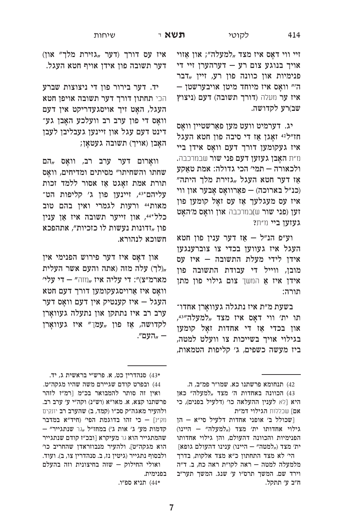זיי ווי דאָס איז מצד "למעלה"; און אַזוי אויך בנוגע צום רע – דערהערן זיי די פנימיות און כוונה פון רע, זיין "דבר  $-$ וואַס איז מיוחד מיטן אויבערשטן איז ער מעלה (דורך תשובה) דעם (ניצוץ שב)רע לקדושה.

יג. דערמיט וועט מען פאַרשטיין וואַס חז"ל<sup>42</sup> זאָגן אַז די סיבה פון חטא העגל איז געקומען דורך דעם וואָס אידן ביי m תאבן געזען דעם פני שור שבמרכבה. ולכאורה — תמי׳ הכי גדולה: אמת טאַקע אַז דער חטא העגל "גזירת מלך היתה״ (כנ״ל בארוכה) – פאַרוואָס אָבער און ווי איז עס מעגלעך אַז עס זאָל קומען פון זען (פני שור ש)במרכבה און וואָס מ׳האָט געזען ביי וו״ת?

וע״פ הנ״ל – אַז דער ענין פון חטא העגל איז געווען בכדי צו צוברענגען אידן לידי מעלת התשובה – איז עס מובן, ווייל די עבודת התשובה פון אידן איז אַ המשך צום גילוי פון מתן תורה:

בשעת מ״ת איז נתגלה געוואַרן אחדו־ תו ית׳ ווי דאַס איז מצד "למעלה"43, און בכדי אַז די אחדות זאַל קומען בגילוי אויך בשייכות צו וועלט למטה, ביז מעשה כשפים, ג׳ קליפות הטמאות,

42) תנחומא פרשתנו כא. שמו״ר פמ״ב, ה.

איז עס דורך (דער "גזירת מלך" און) דער תשובה פון אידן אויף חטא העגל.

יד. דער בירור פון די ניצוצות שברע הכי תחתון דורך דער תשובה אויפן חטא העגל, האַט זיך אויסגעדריקט אין דעם וואָס די פון ערב רב וועלכע האָבן גע־ דינט דעם עגל און זיינען געבליבן לעבן האָבן (אויך) תשובה געטאַן;

וואָרום דער ערב רב, וואָס "הם שחתו והשחיתו" מסיתים ומדיחים, וואָס תורת אמת זאָגט אַז אסור ללמד זכות עליהם אינען פון ג׳ קליפות הט־ מאות44 ורעות לגמרי ואין בהם טוב כלל\*44, און זייער תשובה איז אַן ענין פון "זדונות נעשות לו כזכיות״, אתהפכא חשוכא לנהורא.

און דאָס איז דער פירוש הפנימי אין לר) עלה מזה (אתה והעם אשר העלית, מארמ״צ)״: די עליה איז "ווה״ – די עלי׳ וואַס איז אַרויסגעקומען דורך דעם חטא העגל – איז קענטיק אין דעם וואַס דער ערב רב איז נתתקן און נתעלה געוואַרן לקדושה, אַז פון "עמך" איז געוואָרן — "העם״.

ואולי החילוק – שזה בחיצונית וזה בהעלם בפנימית.

<sup>43)</sup> הכוונה באחדות ה׳ מצד "למעלה״ כאן היא [לא לענין ההעלאה כו׳ (דלעיל בפנים), כי אם] שכללות הגילוי דמ״ת

הן - שכולל ב׳ אופני אחדות דלעיל סי"א היינו) - היינו מצד ("למעלה" אחדותו היינו הפנימיות והכוונה דהעולם, והן גילוי אחדותו  $\left[$ ות גופא – היינו) ווינינו ההעולם היינו

הי׳ לא מצד התחתון כ״א מצד אלקות, בדרך מלמעלה למטה – ראה לקו״ת ראה כח, ב. ד״ה וירד שם. המשך תרס"ו ע' שנג. המשך תער"ב ח״ב ע׳ תתקל.

סנהדרין כט, א. פרש״י בראשית ג, יד. פרש

<sup>44)</sup> ובפרט קודם שגיירם משה שהיו מגקה"ט. ואין זה סותר להמבואר בכ״מ [רמ״ז לזהר פרשתנו קצא, א. מאו"א (וש"נ) וקה"י ע׳ ערב רב. ולהעיר מאגה"ק סכ"ו (קמד, ב) שהערב רב יונקים מק"נ] – כי זהו בדוגמת הפי׳ (חיד"א במדבר – קדמות מע׳ ג׳ אות ג׳) במחז״ל "גר שנתגייר״ שהמתגייר הוא גר מעיקרא [ובכ״ז קודם שנתגייר הוא מגקה"ט]. ולהעיר מנבוזראדן שהחריב כו' ולבסוף נתגייר (גיטין נז, ב. סנהדרין צו, ב). ועוד.

תניא ספ״ו.  $(44*$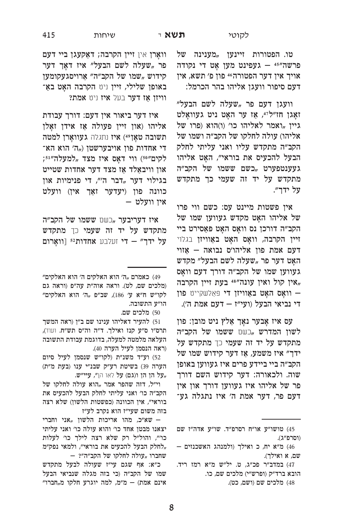טו. הפטורות זיינען "מענינה של פרשה"3+ - געפינט מען אַט די נקודה אויך אין דער הפטורה<sup>46</sup> פון פ׳ תשא, אין דעם סיפור וועגן אליהו בהר הכרמל:

וועגן דעם פר "שעלה לשם הבעל" ואָגן חז"ל<sup>47</sup>, אַז ער האָט ניט געוואָלט ' גיין "ואמר לאליהו כו' (ו)הוא (פרו של אליהו) עולה לחלקו של הקב״ה ושמו של הקב״ה מתקדש עליו ואני עליתי לחלק הבעל להכעיס את בוראי", האַט אליהו געענטפערט "כשם ששמו של הקב"ה מתקדש על יד זה שעמי כך מתקדש על ידר״.

אין פשטות מיינט עס: כשם ווי פרו של אליהו האָט מקדש געווען שמו של הקב״ה דורכן נס וואָס האָט פּאַסירט ביי זיין הקרבה, וואָס האָט באַוויזן בגלוי דעם אמת פון אליהו׳ס נבואה – אַזוי האָט דער פר "שעלה לשם הבעל" מקדש געווען שמו של הקב״ה דורך דעם וואָס "אין קול ואין עונה"<sup>48</sup> בעת זיין הקרבה, ר וואָס האָט באַוויזן די פּאַלשקייט פון די נביאי הבעל (ועי״ז – דעם אמת ה׳).

עס איז אָבער נאָך אַלץ ניט מובן: פון לשון המדרש "כשם ששמו של הקב"ה מתקדש על יד זה שעמי כך מתקדש על ידך" איז משמע, אַז דער קידוש שמו של הקב״ה ביי ביידע פרים איז געווען באופן שוה. ולכאורה: דער קידוש השם דורך פר של אליהו איז געווען דורך און אין דעם פר, דער אמת ה׳ איז נתגלה גע־

וואָרן אין זיין הקרבה; דאַקעגן ביי דעם פר "שעלה לשם הבעל" איז דאָך דער קידוש "שמו של הקב״ה״ אַרויסגעקומען באופן שלילי, זיין ניט הקרבה האָט באַ־ וויזן אז דער בעל איז ניט אמת?

איז דער ביאור אין דעם: דורך עבודת אליהו (און זיין פעולה אַז אידן זאַלן תשובה טאַן49) איז נתגלה געוואַרן למטה די אחדות פון אויבערשטן ("ה׳ הוא הא־ לקים"<sup>50</sup>) ווי דאָס איז מצד "למעלה"<sup>151</sup> און וויבאַלד אַז מצד דער אחדות שטייט בגילוי דער "דבר ה", די פנימיות און כוונה פון (יעדער זאַך אין) וועלט אין וועלט –

איז דעריבער "כשם ששמו של הקב״ה מתקדש על יד זה שעמי כך מתקדש על ידך" - די זעלבע אחדות<sup>52</sup> [וואָרום

50) מלכים שם.

51) להעיר דאליהו ענינו שם ב״ן (ראה המשך תרס"ו ס"ע קנז ואילך. ד"ה וה"ס תש"ח. ועוד), העלאה מלמטה למעלה, בדוגמת עבודת התשובה (ראה הנסמן לעיל הערה 40).

52) וע״ד משנ״ת (לקו״ש שנסמן לעיל סיום הערה 39) בשיטת רע״ק שבנ״י ענו (בעת מ״ת) "על הן הן ו(גם) על לאו הן", עיי"ש.

וי"ל, דזה שהפר אמר "הוא עולה לחלקו של הקב״ה כו׳ ואני עליתי לחלק הבעל להכעיס את בוראי", אין הכוונה (כפשטות הלשון) שלא רצה בזה משום שעי״ז הוא נקרב לע״ז

שא״כ, מהו אריכות הלשון "אני וחברי – יצאנו מבטן אחד כו׳ והוא עולה כו׳ ואני עליתי כו'", והול"ל רק שלא רצה לילך כו' לעלות לחלק הבעל להכעיס את בוראי", ולמאי נפק"מ, שחברו "עולה לחלקו של הקב"ה"?

כ״א: אף שגם עי״ז שעולה לבעל מתקדש שמו של הקב״ה (כי בזה מגלה שנביאי הבעל אינם אמת) - מ״מ, למה יוגרע חלקו מ,,חברו״

<sup>45)</sup> טושו״ע או״ח רסרפ״ד. שו״ע אדה״ז שם (וסרפ״ג).

<sup>46)</sup> מ"א יח, כ ואילך (ולמנהג האשכנזים -שם, א ואילך).

<sup>47)</sup> במדב״ר פכ״ג, ט. יל״ש מ״א רמז ריד. הובא ברד״ק (ופרש״י) מלכים שם, כו. 48) מלכים שם (ושם, כט).

<sup>49)</sup> כאמרם "ה׳ הוא האלקים ה׳ הוא האלקים״ (מלכים שם, לט). וראה אוה״ת עה״פ (וראה גם לקו״ש ח״א ע׳ 186), שב״פ "ה׳ הוא האלקים״ הו״ע התשובה.